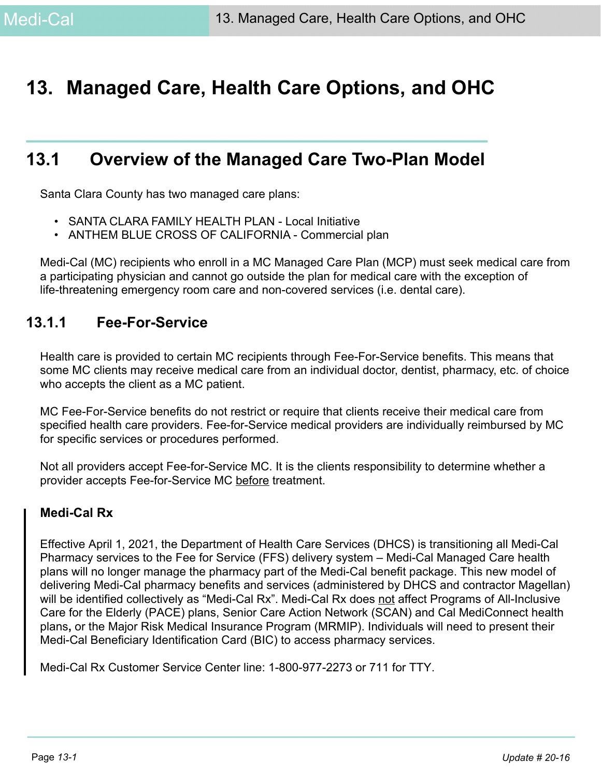# **13. Managed Care, Health Care Options, and OHC**

# **13.1 Overview of the Managed Care Two-Plan Model**

Santa Clara County has two managed care plans:

- SANTA CLARA FAMILY HEALTH PLAN Local Initiative
- ANTHEM BLUE CROSS OF CALIFORNIA Commercial plan

Medi-Cal (MC) recipients who enroll in a MC Managed Care Plan (MCP) must seek medical care from a participating physician and cannot go outside the plan for medical care with the exception of life-threatening emergency room care and non-covered services (i.e. dental care).

## **13.1.1 Fee-For-Service**

Health care is provided to certain MC recipients through Fee-For-Service benefits. This means that some MC clients may receive medical care from an individual doctor, dentist, pharmacy, etc. of choice who accepts the client as a MC patient.

MC Fee-For-Service benefits do not restrict or require that clients receive their medical care from specified health care providers. Fee-for-Service medical providers are individually reimbursed by MC for specific services or procedures performed.

Not all providers accept Fee-for-Service MC. It is the clients responsibility to determine whether a provider accepts Fee-for-Service MC before treatment.

#### **Medi-Cal Rx**

Effective April 1, 2021, the Department of Health Care Services (DHCS) is transitioning all Medi-Cal Pharmacy services to the Fee for Service (FFS) delivery system – Medi-Cal Managed Care health plans will no longer manage the pharmacy part of the Medi-Cal benefit package. This new model of delivering Medi-Cal pharmacy benefits and services (administered by DHCS and contractor Magellan) will be identified collectively as "Medi-Cal Rx". Medi-Cal Rx does not affect Programs of All-Inclusive Care for the Elderly (PACE) plans, Senior Care Action Network (SCAN) and Cal MediConnect health plans**,** or the Major Risk Medical Insurance Program (MRMIP). Individuals will need to present their Medi-Cal Beneficiary Identification Card (BIC) to access pharmacy services.

Medi-Cal Rx Customer Service Center line: 1-800-977-2273 or 711 for TTY.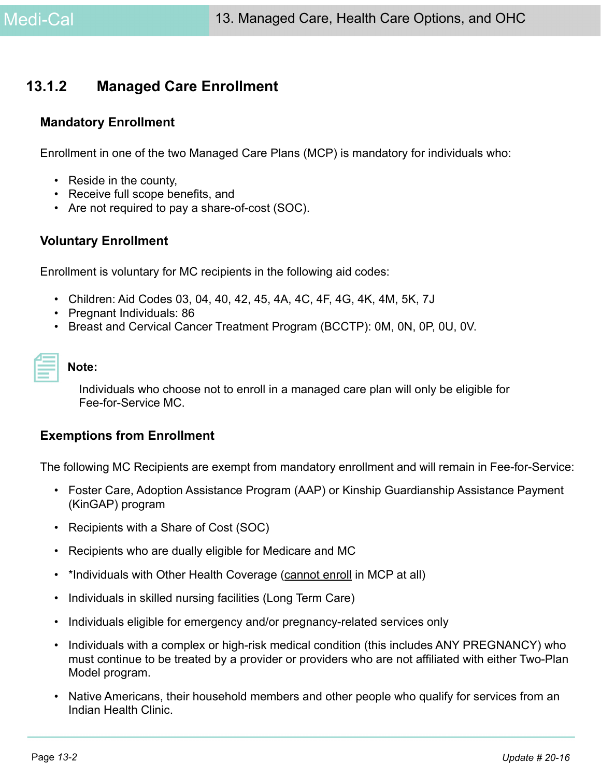# **13.1.2 Managed Care Enrollment**

#### **Mandatory Enrollment**

Enrollment in one of the two Managed Care Plans (MCP) is mandatory for individuals who:

- Reside in the county,
- Receive full scope benefits, and
- Are not required to pay a share-of-cost (SOC).

#### **Voluntary Enrollment**

Enrollment is voluntary for MC recipients in the following aid codes:

- Children: Aid Codes 03, 04, 40, 42, 45, 4A, 4C, 4F, 4G, 4K, 4M, 5K, 7J
- Pregnant Individuals: 86
- Breast and Cervical Cancer Treatment Program (BCCTP): 0M, 0N, 0P, 0U, 0V.

| _______ |  |
|---------|--|

#### **Note:**

Individuals who choose not to enroll in a managed care plan will only be eligible for Fee-for-Service MC.

#### <span id="page-1-0"></span>**Exemptions from Enrollment**

The following MC Recipients are exempt from mandatory enrollment and will remain in Fee-for-Service:

- Foster Care, Adoption Assistance Program (AAP) or Kinship Guardianship Assistance Payment (KinGAP) program
- Recipients with a Share of Cost (SOC)
- Recipients who are dually eligible for Medicare and MC
- \*Individuals with Other Health Coverage (cannot enroll in MCP at all)
- Individuals in skilled nursing facilities (Long Term Care)
- Individuals eligible for emergency and/or pregnancy-related services only
- Individuals with a complex or high-risk medical condition (this includes ANY PREGNANCY) who must continue to be treated by a provider or providers who are not affiliated with either Two-Plan Model program.
- Native Americans, their household members and other people who qualify for services from an Indian Health Clinic.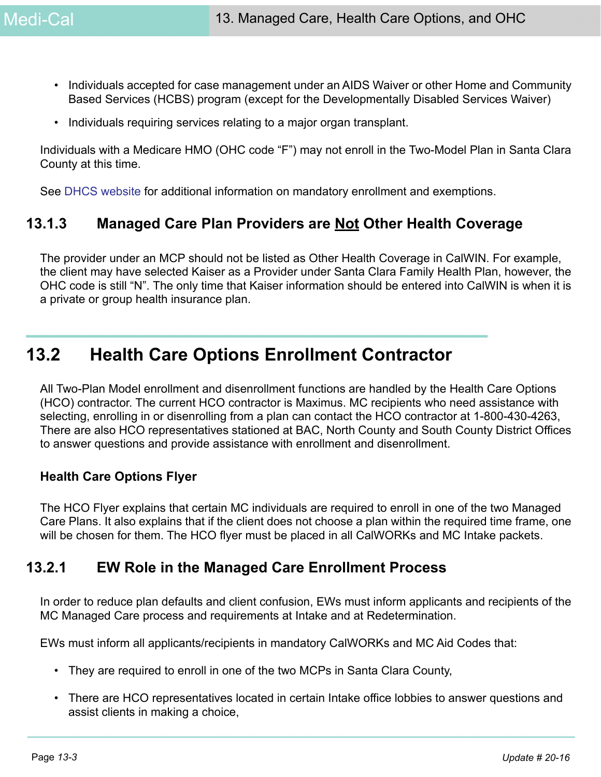- Individuals accepted for case management under an AIDS Waiver or other Home and Community Based Services (HCBS) program (except for the Developmentally Disabled Services Waiver)
- Individuals requiring services relating to a major organ transplant.

Individuals with a Medicare HMO (OHC code "F") may not enroll in the Two-Model Plan in Santa Clara County at this time.

See [DHCS website](https://www.healthcareoptions.dhcs.ca.gov/learn/who-must-enroll) for additional information on mandatory enrollment and exemptions.

# **13.1.3 Managed Care Plan Providers are Not Other Health Coverage**

The provider under an MCP should not be listed as Other Health Coverage in CalWIN. For example, the client may have selected Kaiser as a Provider under Santa Clara Family Health Plan, however, the OHC code is still "N". The only time that Kaiser information should be entered into CalWIN is when it is a private or group health insurance plan.

# **13.2 Health Care Options Enrollment Contractor**

All Two-Plan Model enrollment and disenrollment functions are handled by the Health Care Options (HCO) contractor. The current HCO contractor is Maximus. MC recipients who need assistance with selecting, enrolling in or disenrolling from a plan can contact the HCO contractor at 1-800-430-4263, There are also HCO representatives stationed at BAC, North County and South County District Offices to answer questions and provide assistance with enrollment and disenrollment.

#### **Health Care Options Flyer**

The HCO Flyer explains that certain MC individuals are required to enroll in one of the two Managed Care Plans. It also explains that if the client does not choose a plan within the required time frame, one will be chosen for them. The HCO flyer must be placed in all CalWORKs and MC Intake packets.

# **13.2.1 EW Role in the Managed Care Enrollment Process**

In order to reduce plan defaults and client confusion, EWs must inform applicants and recipients of the MC Managed Care process and requirements at Intake and at Redetermination.

EWs must inform all applicants/recipients in mandatory CalWORKs and MC Aid Codes that:

- They are required to enroll in one of the two MCPs in Santa Clara County,
- There are HCO representatives located in certain Intake office lobbies to answer questions and assist clients in making a choice,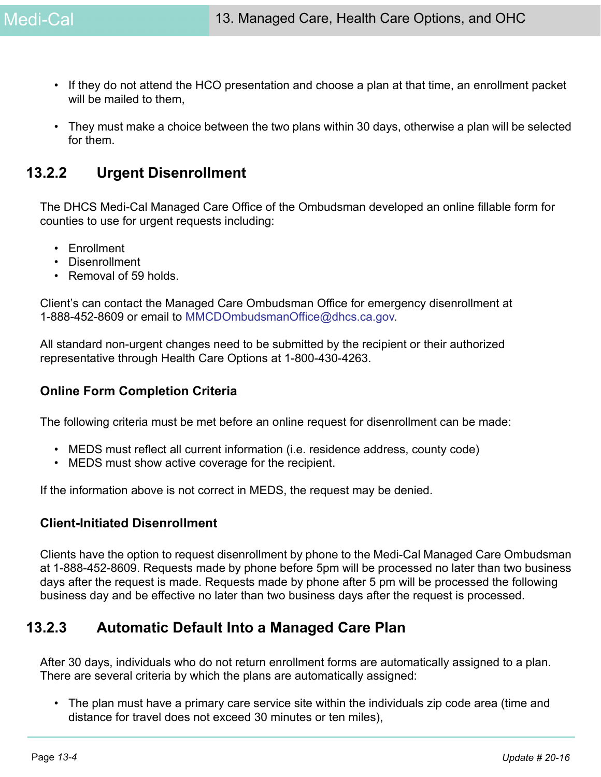- If they do not attend the HCO presentation and choose a plan at that time, an enrollment packet will be mailed to them.
- They must make a choice between the two plans within 30 days, otherwise a plan will be selected for them.

# <span id="page-3-0"></span>**13.2.2 Urgent Disenrollment**

The DHCS Medi-Cal Managed Care Office of the Ombudsman developed an online fillable form for counties to use for urgent requests including:

- Enrollment
- Disenrollment
- Removal of 59 holds.

Client's can contact the Managed Care Ombudsman Office for emergency disenrollment at 1-888-452-8609 or email to MMCDOmbudsmanOffice@dhcs.ca.gov.

All standard non-urgent changes need to be submitted by the recipient or their authorized representative through Health Care Options at 1-800-430-4263.

#### **Online Form Completion Criteria**

The following criteria must be met before an online request for disenrollment can be made:

- MEDS must reflect all current information (i.e. residence address, county code)
- MEDS must show active coverage for the recipient.

If the information above is not correct in MEDS, the request may be denied.

#### **Client-Initiated Disenrollment**

Clients have the option to request disenrollment by phone to the Medi-Cal Managed Care Ombudsman at 1-888-452-8609. Requests made by phone before 5pm will be processed no later than two business days after the request is made. Requests made by phone after 5 pm will be processed the following business day and be effective no later than two business days after the request is processed.

# **13.2.3 Automatic Default Into a Managed Care Plan**

After 30 days, individuals who do not return enrollment forms are automatically assigned to a plan. There are several criteria by which the plans are automatically assigned:

• The plan must have a primary care service site within the individuals zip code area (time and distance for travel does not exceed 30 minutes or ten miles),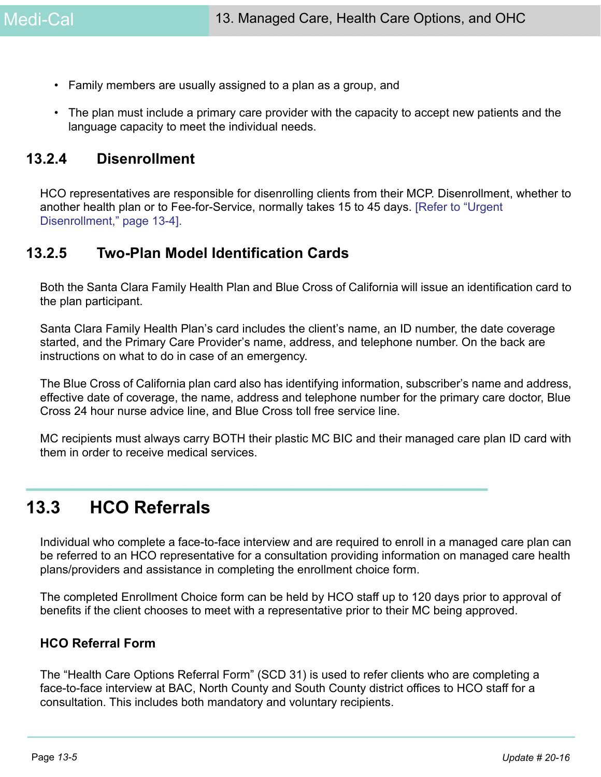- Family members are usually assigned to a plan as a group, and
- The plan must include a primary care provider with the capacity to accept new patients and the language capacity to meet the individual needs.

# **13.2.4 Disenrollment**

HCO representatives are responsible for disenrolling clients from their MCP. Disenrollment, whether to another health plan or to Fee-for-Service, normally takes 15 to 45 days. [\[Refer to "Urgent](#page-3-0)  [Disenrollment," page 13-4\]](#page-3-0).

## **13.2.5 Two-Plan Model Identification Cards**

Both the Santa Clara Family Health Plan and Blue Cross of California will issue an identification card to the plan participant.

Santa Clara Family Health Plan's card includes the client's name, an ID number, the date coverage started, and the Primary Care Provider's name, address, and telephone number. On the back are instructions on what to do in case of an emergency.

The Blue Cross of California plan card also has identifying information, subscriber's name and address, effective date of coverage, the name, address and telephone number for the primary care doctor, Blue Cross 24 hour nurse advice line, and Blue Cross toll free service line.

MC recipients must always carry BOTH their plastic MC BIC and their managed care plan ID card with them in order to receive medical services.

# **13.3 HCO Referrals**

Individual who complete a face-to-face interview and are required to enroll in a managed care plan can be referred to an HCO representative for a consultation providing information on managed care health plans/providers and assistance in completing the enrollment choice form.

The completed Enrollment Choice form can be held by HCO staff up to 120 days prior to approval of benefits if the client chooses to meet with a representative prior to their MC being approved.

#### **HCO Referral Form**

The "Health Care Options Referral Form" (SCD 31) is used to refer clients who are completing a face-to-face interview at BAC, North County and South County district offices to HCO staff for a consultation. This includes both mandatory and voluntary recipients.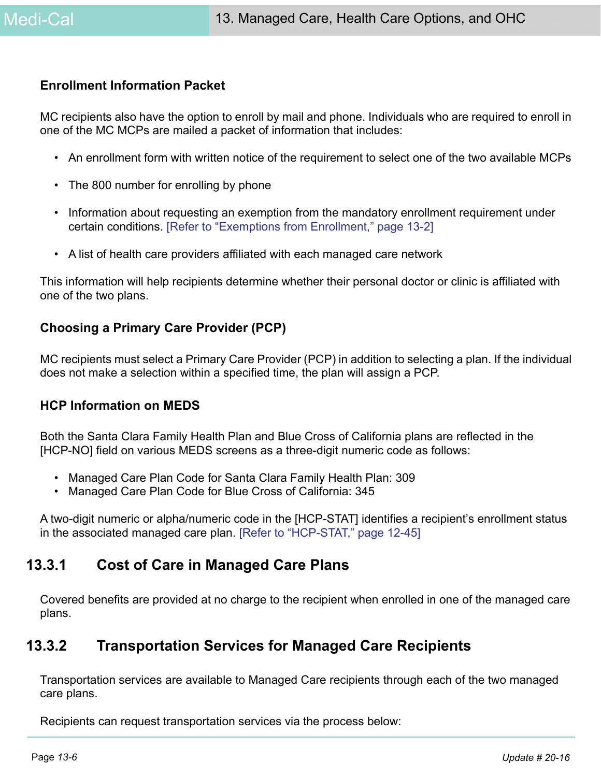#### **Enrollment Information Packet**

MC recipients also have the option to enroll by mail and phone. Individuals who are required to enroll in one of the MC MCPs are mailed a packet of information that includes:

- An enrollment form with written notice of the requirement to select one of the two available MCPs
- The 800 number for enrolling by phone
- Information about requesting an exemption from the mandatory enrollment requirement under certain conditions. [\[Refer to "Exemptions from Enrollment," page 13-2\]](#page-1-0)
- A list of health care providers affiliated with each managed care network

This information will help recipients determine whether their personal doctor or clinic is affiliated with one of the two plans.

#### **Choosing a Primary Care Provider (PCP)**

MC recipients must select a Primary Care Provider (PCP) in addition to selecting a plan. If the individual does not make a selection within a specified time, the plan will assign a PCP.

#### **HCP Information on MEDS**

Both the Santa Clara Family Health Plan and Blue Cross of California plans are reflected in the [HCP-NO] field on various MEDS screens as a three-digit numeric code as follows:

- Managed Care Plan Code for Santa Clara Family Health Plan: 309
- Managed Care Plan Code for Blue Cross of California: 345

A two-digit numeric or alpha/numeric code in the [HCP-STAT] identifies a recipient's enrollment status in the associated managed care plan. [Refer to "HCP-STAT," page 12-45]

# **13.3.1 Cost of Care in Managed Care Plans**

Covered benefits are provided at no charge to the recipient when enrolled in one of the managed care plans.

# **13.3.2 Transportation Services for Managed Care Recipients**

Transportation services are available to Managed Care recipients through each of the two managed care plans.

Recipients can request transportation services via the process below: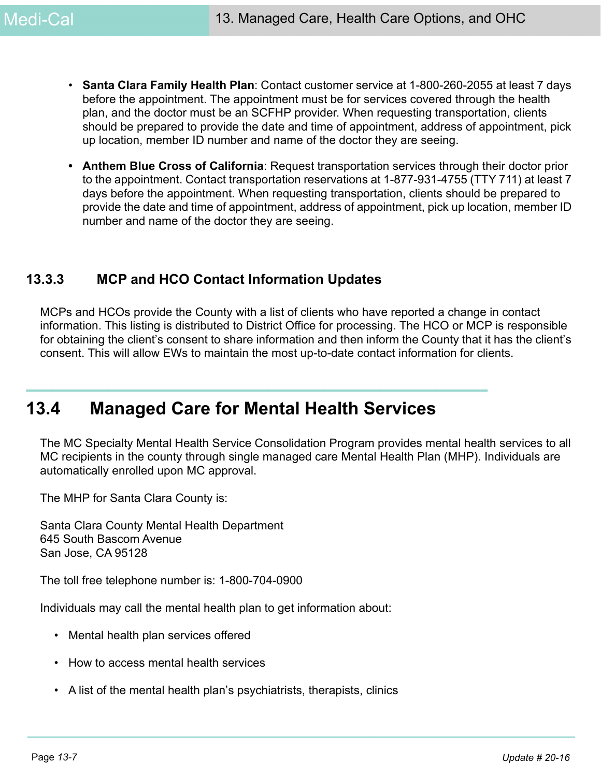- **Santa Clara Family Health Plan**: Contact customer service at 1-800-260-2055 at least 7 days before the appointment. The appointment must be for services covered through the health plan, and the doctor must be an SCFHP provider. When requesting transportation, clients should be prepared to provide the date and time of appointment, address of appointment, pick up location, member ID number and name of the doctor they are seeing.
- **Anthem Blue Cross of California**: Request transportation services through their doctor prior to the appointment. Contact transportation reservations at 1-877-931-4755 (TTY 711) at least 7 days before the appointment. When requesting transportation, clients should be prepared to provide the date and time of appointment, address of appointment, pick up location, member ID number and name of the doctor they are seeing.

# **13.3.3 MCP and HCO Contact Information Updates**

MCPs and HCOs provide the County with a list of clients who have reported a change in contact information. This listing is distributed to District Office for processing. The HCO or MCP is responsible for obtaining the client's consent to share information and then inform the County that it has the client's consent. This will allow EWs to maintain the most up-to-date contact information for clients.

# **13.4 Managed Care for Mental Health Services**

The MC Specialty Mental Health Service Consolidation Program provides mental health services to all MC recipients in the county through single managed care Mental Health Plan (MHP). Individuals are automatically enrolled upon MC approval.

The MHP for Santa Clara County is:

Santa Clara County Mental Health Department 645 South Bascom Avenue San Jose, CA 95128

The toll free telephone number is: 1-800-704-0900

Individuals may call the mental health plan to get information about:

- Mental health plan services offered
- How to access mental health services
- A list of the mental health plan's psychiatrists, therapists, clinics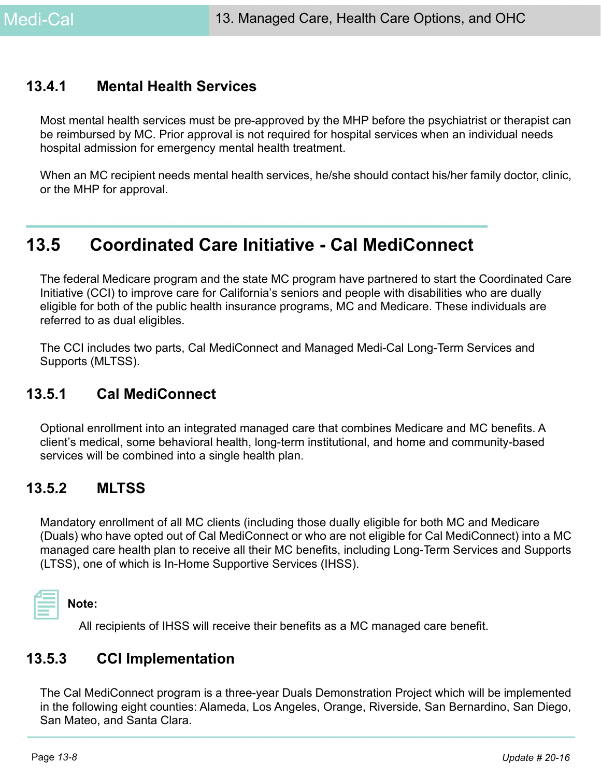# **13.4.1 Mental Health Services**

Most mental health services must be pre-approved by the MHP before the psychiatrist or therapist can be reimbursed by MC. Prior approval is not required for hospital services when an individual needs hospital admission for emergency mental health treatment.

When an MC recipient needs mental health services, he/she should contact his/her family doctor, clinic, or the MHP for approval.

# **13.5 Coordinated Care Initiative - Cal MediConnect**

The federal Medicare program and the state MC program have partnered to start the Coordinated Care Initiative (CCI) to improve care for California's seniors and people with disabilities who are dually eligible for both of the public health insurance programs, MC and Medicare. These individuals are referred to as dual eligibles.

The CCI includes two parts, Cal MediConnect and Managed Medi-Cal Long-Term Services and Supports (MLTSS).

# **13.5.1 Cal MediConnect**

Optional enrollment into an integrated managed care that combines Medicare and MC benefits. A client's medical, some behavioral health, long-term institutional, and home and community-based services will be combined into a single health plan.

# **13.5.2 MLTSS**

Mandatory enrollment of all MC clients (including those dually eligible for both MC and Medicare (Duals) who have opted out of Cal MediConnect or who are not eligible for Cal MediConnect) into a MC managed care health plan to receive all their MC benefits, including Long-Term Services and Supports (LTSS), one of which is In-Home Supportive Services (IHSS).



**Note:** 

All recipients of IHSS will receive their benefits as a MC managed care benefit.

# **13.5.3 CCI Implementation**

The Cal MediConnect program is a three-year Duals Demonstration Project which will be implemented in the following eight counties: Alameda, Los Angeles, Orange, Riverside, San Bernardino, San Diego, San Mateo, and Santa Clara.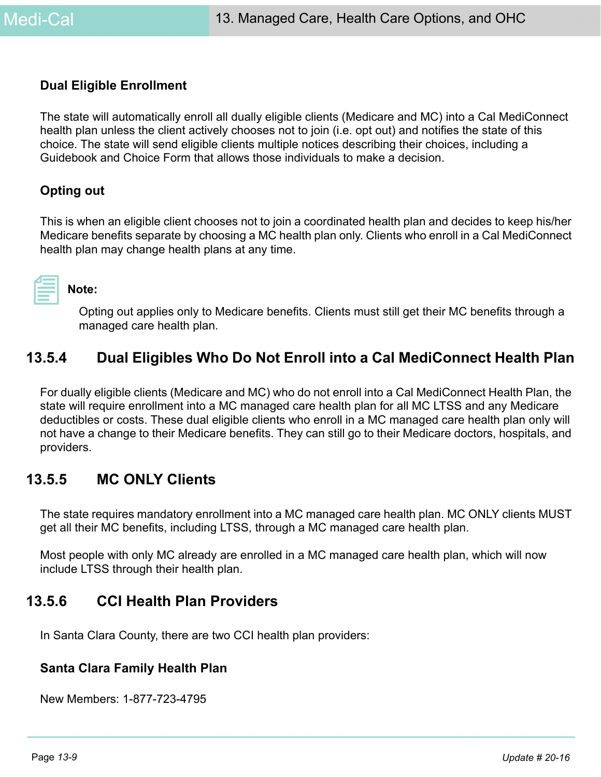#### **Dual Eligible Enrollment**

The state will automatically enroll all dually eligible clients (Medicare and MC) into a Cal MediConnect health plan unless the client actively chooses not to join (i.e. opt out) and notifies the state of this choice. The state will send eligible clients multiple notices describing their choices, including a Guidebook and Choice Form that allows those individuals to make a decision.

#### **Opting out**

This is when an eligible client chooses not to join a coordinated health plan and decides to keep his/her Medicare benefits separate by choosing a MC health plan only. Clients who enroll in a Cal MediConnect health plan may change health plans at any time.



**Note:** 

Opting out applies only to Medicare benefits. Clients must still get their MC benefits through a managed care health plan.

# **13.5.4 Dual Eligibles Who Do Not Enroll into a Cal MediConnect Health Plan**

For dually eligible clients (Medicare and MC) who do not enroll into a Cal MediConnect Health Plan, the state will require enrollment into a MC managed care health plan for all MC LTSS and any Medicare deductibles or costs. These dual eligible clients who enroll in a MC managed care health plan only will not have a change to their Medicare benefits. They can still go to their Medicare doctors, hospitals, and providers.

## **13.5.5 MC ONLY Clients**

The state requires mandatory enrollment into a MC managed care health plan. MC ONLY clients MUST get all their MC benefits, including LTSS, through a MC managed care health plan.

Most people with only MC already are enrolled in a MC managed care health plan, which will now include LTSS through their health plan.

# **13.5.6 CCI Health Plan Providers**

In Santa Clara County, there are two CCI health plan providers:

#### **Santa Clara Family Health Plan**

New Members: 1-877-723-4795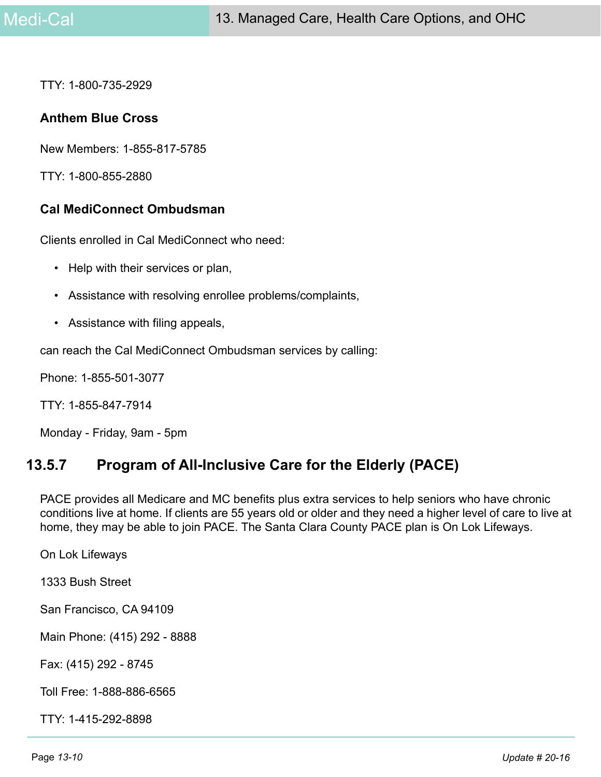TTY: 1-800-735-2929

#### **Anthem Blue Cross**

New Members: 1-855-817-5785

TTY: 1-800-855-2880

#### **Cal MediConnect Ombudsman**

Clients enrolled in Cal MediConnect who need:

- Help with their services or plan,
- Assistance with resolving enrollee problems/complaints,
- Assistance with filing appeals,

can reach the Cal MediConnect Ombudsman services by calling:

Phone: 1-855-501-3077

TTY: 1-855-847-7914

Monday - Friday, 9am - 5pm

# **13.5.7 Program of All-Inclusive Care for the Elderly (PACE)**

PACE provides all Medicare and MC benefits plus extra services to help seniors who have chronic conditions live at home. If clients are 55 years old or older and they need a higher level of care to live at home, they may be able to join PACE. The Santa Clara County PACE plan is On Lok Lifeways.

On Lok Lifeways

1333 Bush Street

San Francisco, CA 94109

Main Phone: (415) 292 - 8888

Fax: (415) 292 - 8745

Toll Free: 1-888-886-6565

TTY: 1-415-292-8898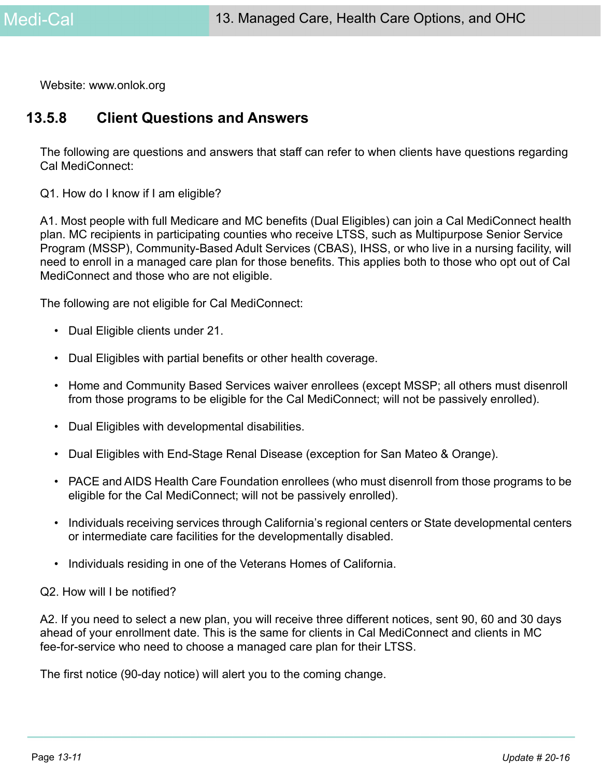Website: www.onlok.org

## **13.5.8 Client Questions and Answers**

The following are questions and answers that staff can refer to when clients have questions regarding Cal MediConnect:

Q1. How do I know if I am eligible?

A1. Most people with full Medicare and MC benefits (Dual Eligibles) can join a Cal MediConnect health plan. MC recipients in participating counties who receive LTSS, such as Multipurpose Senior Service Program (MSSP), Community-Based Adult Services (CBAS), IHSS, or who live in a nursing facility, will need to enroll in a managed care plan for those benefits. This applies both to those who opt out of Cal MediConnect and those who are not eligible.

The following are not eligible for Cal MediConnect:

- Dual Eligible clients under 21.
- Dual Eligibles with partial benefits or other health coverage.
- Home and Community Based Services waiver enrollees (except MSSP; all others must disenroll from those programs to be eligible for the Cal MediConnect; will not be passively enrolled).
- Dual Eligibles with developmental disabilities.
- Dual Eligibles with End-Stage Renal Disease (exception for San Mateo & Orange).
- PACE and AIDS Health Care Foundation enrollees (who must disenroll from those programs to be eligible for the Cal MediConnect; will not be passively enrolled).
- Individuals receiving services through California's regional centers or State developmental centers or intermediate care facilities for the developmentally disabled.
- Individuals residing in one of the Veterans Homes of California.

#### Q2. How will I be notified?

A2. If you need to select a new plan, you will receive three different notices, sent 90, 60 and 30 days ahead of your enrollment date. This is the same for clients in Cal MediConnect and clients in MC fee-for-service who need to choose a managed care plan for their LTSS.

The first notice (90-day notice) will alert you to the coming change.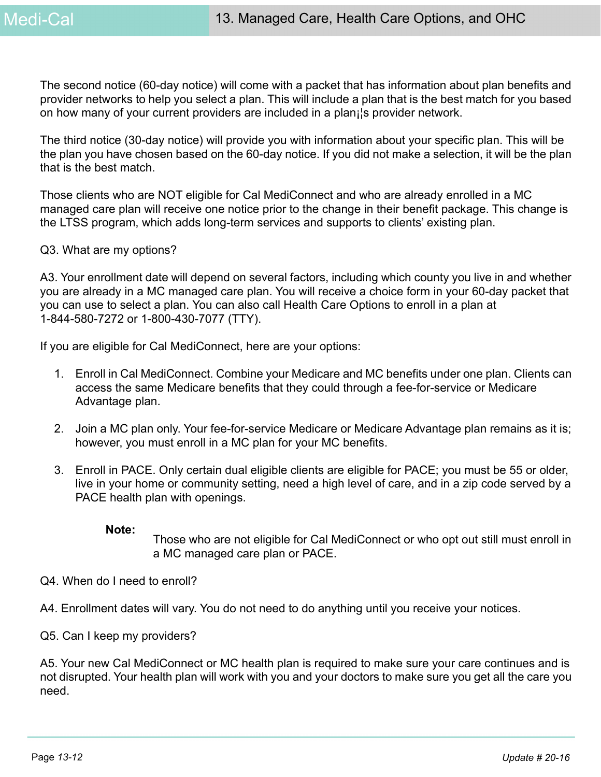The second notice (60-day notice) will come with a packet that has information about plan benefits and provider networks to help you select a plan. This will include a plan that is the best match for you based on how many of your current providers are included in a plan¡¦s provider network.

The third notice (30-day notice) will provide you with information about your specific plan. This will be the plan you have chosen based on the 60-day notice. If you did not make a selection, it will be the plan that is the best match.

Those clients who are NOT eligible for Cal MediConnect and who are already enrolled in a MC managed care plan will receive one notice prior to the change in their benefit package. This change is the LTSS program, which adds long-term services and supports to clients' existing plan.

#### Q3. What are my options?

A3. Your enrollment date will depend on several factors, including which county you live in and whether you are already in a MC managed care plan. You will receive a choice form in your 60-day packet that you can use to select a plan. You can also call Health Care Options to enroll in a plan at 1-844-580-7272 or 1-800-430-7077 (TTY).

If you are eligible for Cal MediConnect, here are your options:

- 1. Enroll in Cal MediConnect. Combine your Medicare and MC benefits under one plan. Clients can access the same Medicare benefits that they could through a fee-for-service or Medicare Advantage plan.
- 2. Join a MC plan only. Your fee-for-service Medicare or Medicare Advantage plan remains as it is; however, you must enroll in a MC plan for your MC benefits.
- 3. Enroll in PACE. Only certain dual eligible clients are eligible for PACE; you must be 55 or older, live in your home or community setting, need a high level of care, and in a zip code served by a PACE health plan with openings.

#### **Note:**

Those who are not eligible for Cal MediConnect or who opt out still must enroll in a MC managed care plan or PACE.

Q4. When do I need to enroll?

A4. Enrollment dates will vary. You do not need to do anything until you receive your notices.

Q5. Can I keep my providers?

A5. Your new Cal MediConnect or MC health plan is required to make sure your care continues and is not disrupted. Your health plan will work with you and your doctors to make sure you get all the care you need.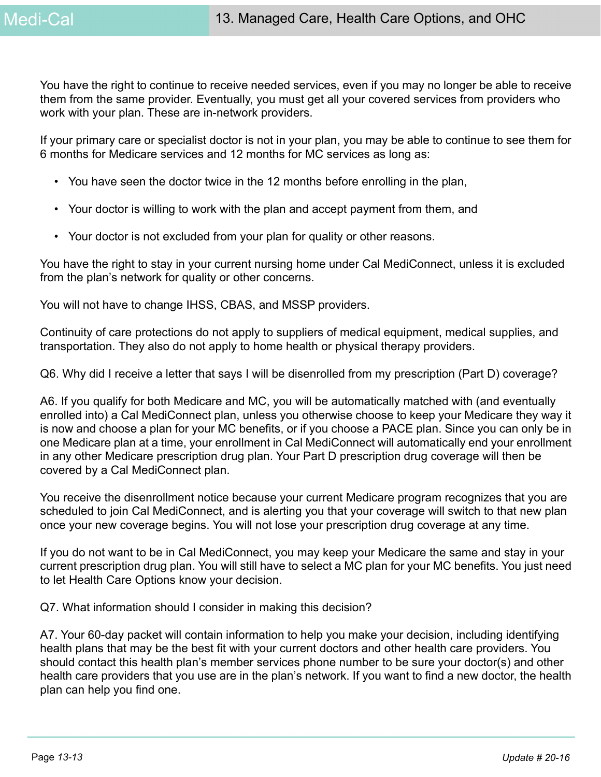You have the right to continue to receive needed services, even if you may no longer be able to receive them from the same provider. Eventually, you must get all your covered services from providers who work with your plan. These are in-network providers.

If your primary care or specialist doctor is not in your plan, you may be able to continue to see them for 6 months for Medicare services and 12 months for MC services as long as:

- You have seen the doctor twice in the 12 months before enrolling in the plan,
- Your doctor is willing to work with the plan and accept payment from them, and
- Your doctor is not excluded from your plan for quality or other reasons.

You have the right to stay in your current nursing home under Cal MediConnect, unless it is excluded from the plan's network for quality or other concerns.

You will not have to change IHSS, CBAS, and MSSP providers.

Continuity of care protections do not apply to suppliers of medical equipment, medical supplies, and transportation. They also do not apply to home health or physical therapy providers.

Q6. Why did I receive a letter that says I will be disenrolled from my prescription (Part D) coverage?

A6. If you qualify for both Medicare and MC, you will be automatically matched with (and eventually enrolled into) a Cal MediConnect plan, unless you otherwise choose to keep your Medicare they way it is now and choose a plan for your MC benefits, or if you choose a PACE plan. Since you can only be in one Medicare plan at a time, your enrollment in Cal MediConnect will automatically end your enrollment in any other Medicare prescription drug plan. Your Part D prescription drug coverage will then be covered by a Cal MediConnect plan.

You receive the disenrollment notice because your current Medicare program recognizes that you are scheduled to join Cal MediConnect, and is alerting you that your coverage will switch to that new plan once your new coverage begins. You will not lose your prescription drug coverage at any time.

If you do not want to be in Cal MediConnect, you may keep your Medicare the same and stay in your current prescription drug plan. You will still have to select a MC plan for your MC benefits. You just need to let Health Care Options know your decision.

Q7. What information should I consider in making this decision?

A7. Your 60-day packet will contain information to help you make your decision, including identifying health plans that may be the best fit with your current doctors and other health care providers. You should contact this health plan's member services phone number to be sure your doctor(s) and other health care providers that you use are in the plan's network. If you want to find a new doctor, the health plan can help you find one.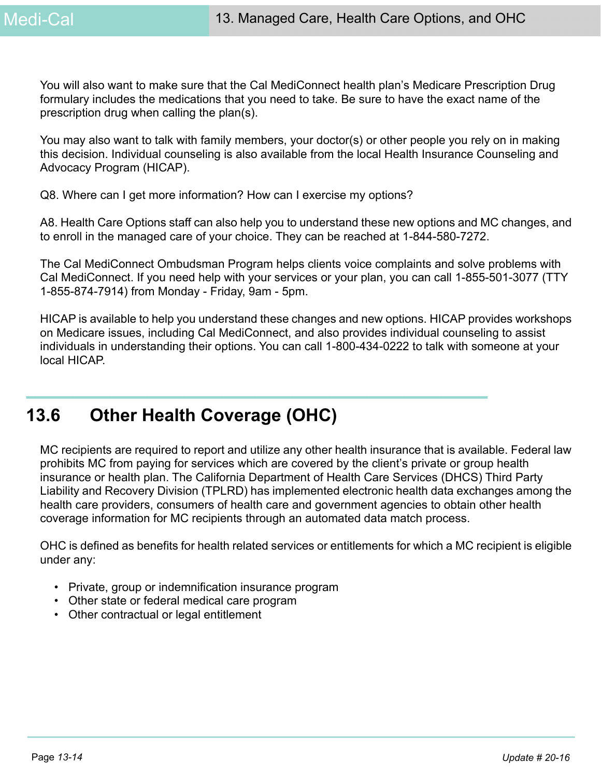You will also want to make sure that the Cal MediConnect health plan's Medicare Prescription Drug formulary includes the medications that you need to take. Be sure to have the exact name of the prescription drug when calling the plan(s).

You may also want to talk with family members, your doctor(s) or other people you rely on in making this decision. Individual counseling is also available from the local Health Insurance Counseling and Advocacy Program (HICAP).

Q8. Where can I get more information? How can I exercise my options?

A8. Health Care Options staff can also help you to understand these new options and MC changes, and to enroll in the managed care of your choice. They can be reached at 1-844-580-7272.

The Cal MediConnect Ombudsman Program helps clients voice complaints and solve problems with Cal MediConnect. If you need help with your services or your plan, you can call 1-855-501-3077 (TTY 1-855-874-7914) from Monday - Friday, 9am - 5pm.

HICAP is available to help you understand these changes and new options. HICAP provides workshops on Medicare issues, including Cal MediConnect, and also provides individual counseling to assist individuals in understanding their options. You can call 1-800-434-0222 to talk with someone at your local HICAP.

# **13.6 Other Health Coverage (OHC)**

MC recipients are required to report and utilize any other health insurance that is available. Federal law prohibits MC from paying for services which are covered by the client's private or group health insurance or health plan. The California Department of Health Care Services (DHCS) Third Party Liability and Recovery Division (TPLRD) has implemented electronic health data exchanges among the health care providers, consumers of health care and government agencies to obtain other health coverage information for MC recipients through an automated data match process.

OHC is defined as benefits for health related services or entitlements for which a MC recipient is eligible under any:

- Private, group or indemnification insurance program
- Other state or federal medical care program
- Other contractual or legal entitlement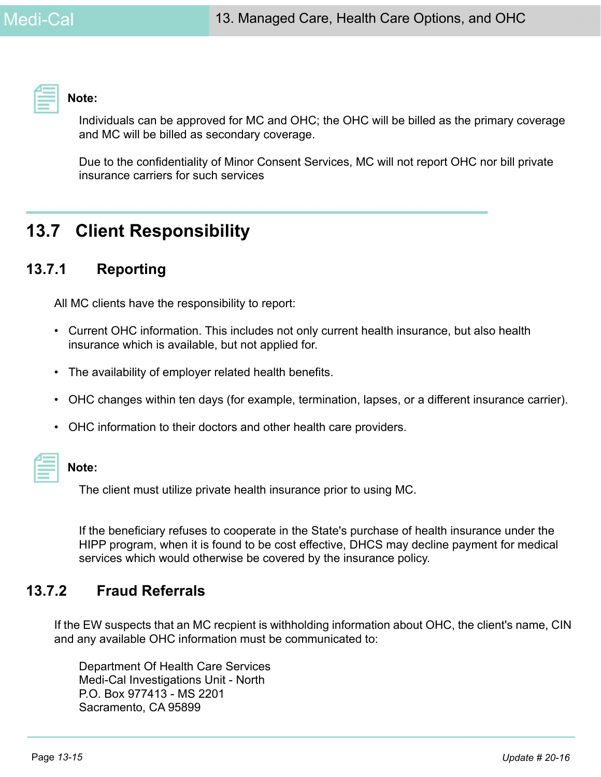

**Note:** 

Individuals can be approved for MC and OHC; the OHC will be billed as the primary coverage and MC will be billed as secondary coverage.

Due to the confidentiality of Minor Consent Services, MC will not report OHC nor bill private insurance carriers for such services

# **13.7 Client Responsibility**

# **13.7.1 Reporting**

All MC clients have the responsibility to report:

- Current OHC information. This includes not only current health insurance, but also health insurance which is available, but not applied for.
- The availability of employer related health benefits.
- OHC changes within ten days (for example, termination, lapses, or a different insurance carrier).
- OHC information to their doctors and other health care providers.

| <b>Contract Contract Contract</b><br>$\mathcal{L}^{\text{max}}_{\text{max}}$                                                   |  |
|--------------------------------------------------------------------------------------------------------------------------------|--|
|                                                                                                                                |  |
|                                                                                                                                |  |
|                                                                                                                                |  |
| _____<br><b>Contract Contract Contract Contract Contract Contract Contract Contract Contract Contract Contract Contract Co</b> |  |
|                                                                                                                                |  |
|                                                                                                                                |  |

#### **Note:**

The client must utilize private health insurance prior to using MC.

If the beneficiary refuses to cooperate in the State's purchase of health insurance under the HIPP program, when it is found to be cost effective, DHCS may decline payment for medical services which would otherwise be covered by the insurance policy.

# **13.7.2 Fraud Referrals**

If the EW suspects that an MC recpient is withholding information about OHC, the client's name, CIN and any available OHC information must be communicated to:

Department Of Health Care Services Medi-Cal Investigations Unit - North P.O. Box 977413 - MS 2201 Sacramento, CA 95899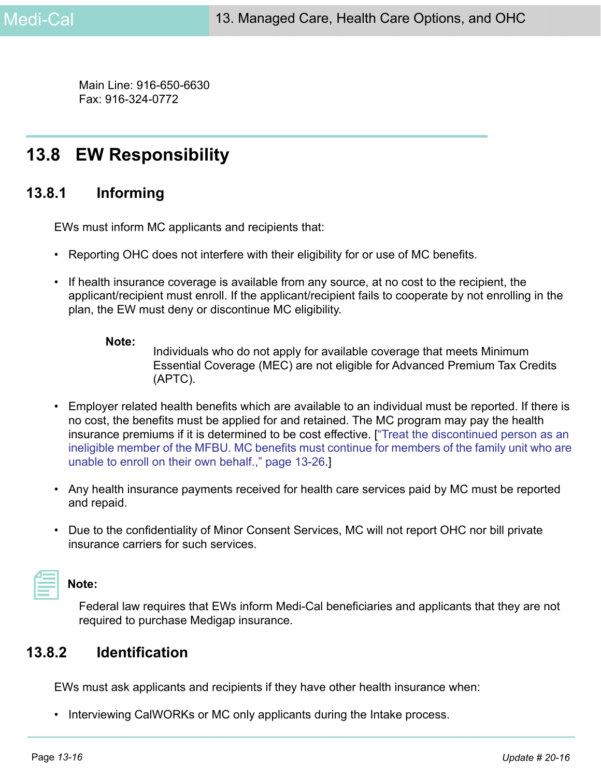Main Line: 916-650-6630 Fax: 916-324-0772

# **13.8 EW Responsibility**

# **13.8.1 Informing**

EWs must inform MC applicants and recipients that:

- Reporting OHC does not interfere with their eligibility for or use of MC benefits.
- If health insurance coverage is available from any source, at no cost to the recipient, the applicant/recipient must enroll. If the applicant/recipient fails to cooperate by not enrolling in the plan, the EW must deny or discontinue MC eligibility.

#### **Note:**

Individuals who do not apply for available coverage that meets Minimum Essential Coverage (MEC) are not eligible for Advanced Premium Tax Credits (APTC).

- Employer related health benefits which are available to an individual must be reported. If there is no cost, the benefits must be applied for and retained. The MC program may pay the health insurance premiums if it is determined to be cost effective. [["Treat the discontinued person as an](#page-25-0)  [ineligible member of the MFBU. MC benefits must continue for members of the family unit who are](#page-25-0)  [unable to enroll on their own behalf.," page 13-26](#page-25-0).]
- Any health insurance payments received for health care services paid by MC must be reported and repaid.
- Due to the confidentiality of Minor Consent Services, MC will not report OHC nor bill private insurance carriers for such services.

# **Note:**

Federal law requires that EWs inform Medi-Cal beneficiaries and applicants that they are not required to purchase Medigap insurance.

# **13.8.2 Identification**

EWs must ask applicants and recipients if they have other health insurance when:

• Interviewing CalWORKs or MC only applicants during the Intake process.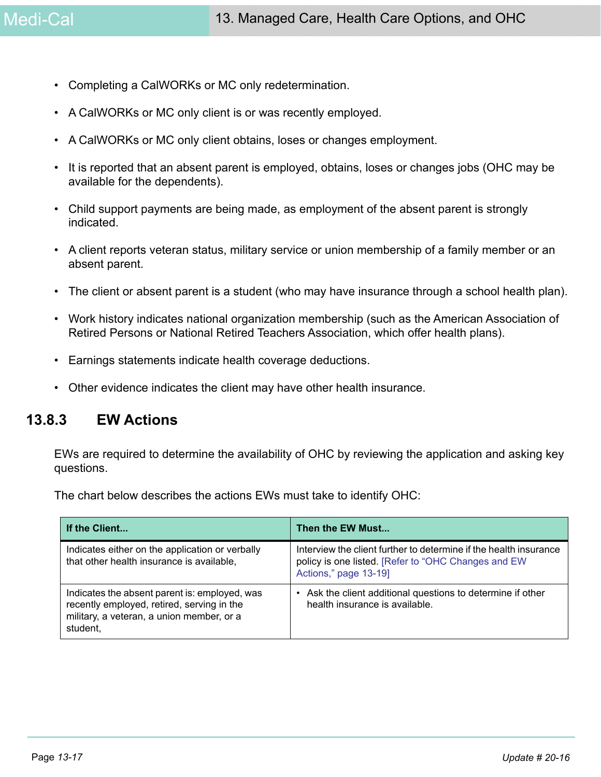- Completing a CalWORKs or MC only redetermination.
- A CalWORKs or MC only client is or was recently employed.
- A CalWORKs or MC only client obtains, loses or changes employment.
- It is reported that an absent parent is employed, obtains, loses or changes jobs (OHC may be available for the dependents).
- Child support payments are being made, as employment of the absent parent is strongly indicated.
- A client reports veteran status, military service or union membership of a family member or an absent parent.
- The client or absent parent is a student (who may have insurance through a school health plan).
- Work history indicates national organization membership (such as the American Association of Retired Persons or National Retired Teachers Association, which offer health plans).
- Earnings statements indicate health coverage deductions.
- Other evidence indicates the client may have other health insurance.

# **13.8.3 EW Actions**

EWs are required to determine the availability of OHC by reviewing the application and asking key questions.

The chart below describes the actions EWs must take to identify OHC:

| If the Client                                                                                                                                        | Then the EW Must                                                                                                                                  |
|------------------------------------------------------------------------------------------------------------------------------------------------------|---------------------------------------------------------------------------------------------------------------------------------------------------|
| Indicates either on the application or verbally<br>that other health insurance is available,                                                         | Interview the client further to determine if the health insurance<br>policy is one listed. [Refer to "OHC Changes and EW<br>Actions," page 13-19] |
| Indicates the absent parent is: employed, was<br>recently employed, retired, serving in the<br>military, a veteran, a union member, or a<br>student, | Ask the client additional questions to determine if other<br>$\bullet$<br>health insurance is available.                                          |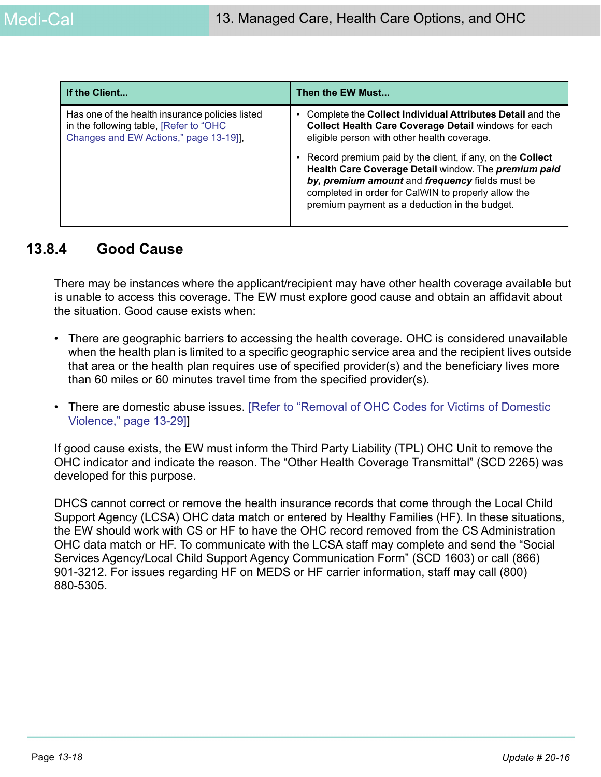| If the Client                                                                                                                       | Then the EW Must                                                                                                                                                                                                                                                                                                                                                                                                                                        |
|-------------------------------------------------------------------------------------------------------------------------------------|---------------------------------------------------------------------------------------------------------------------------------------------------------------------------------------------------------------------------------------------------------------------------------------------------------------------------------------------------------------------------------------------------------------------------------------------------------|
| Has one of the health insurance policies listed<br>in the following table, [Refer to "OHC<br>Changes and EW Actions," page 13-19]], | Complete the Collect Individual Attributes Detail and the<br>Collect Health Care Coverage Detail windows for each<br>eligible person with other health coverage.<br>Record premium paid by the client, if any, on the <b>Collect</b><br>Health Care Coverage Detail window. The premium paid<br>by, premium amount and frequency fields must be<br>completed in order for CalWIN to properly allow the<br>premium payment as a deduction in the budget. |

## **13.8.4 Good Cause**

There may be instances where the applicant/recipient may have other health coverage available but is unable to access this coverage. The EW must explore good cause and obtain an affidavit about the situation. Good cause exists when:

- There are geographic barriers to accessing the health coverage. OHC is considered unavailable when the health plan is limited to a specific geographic service area and the recipient lives outside that area or the health plan requires use of specified provider(s) and the beneficiary lives more than 60 miles or 60 minutes travel time from the specified provider(s).
- There are domestic abuse issues. [\[Refer to "Removal of OHC Codes for Victims of Domestic](#page-28-0)  [Violence," page 13-29\]](#page-28-0)]

If good cause exists, the EW must inform the Third Party Liability (TPL) OHC Unit to remove the OHC indicator and indicate the reason. The "Other Health Coverage Transmittal" (SCD 2265) was developed for this purpose.

DHCS cannot correct or remove the health insurance records that come through the Local Child Support Agency (LCSA) OHC data match or entered by Healthy Families (HF). In these situations, the EW should work with CS or HF to have the OHC record removed from the CS Administration OHC data match or HF. To communicate with the LCSA staff may complete and send the "Social Services Agency/Local Child Support Agency Communication Form" (SCD 1603) or call (866) 901-3212. For issues regarding HF on MEDS or HF carrier information, staff may call (800) 880-5305.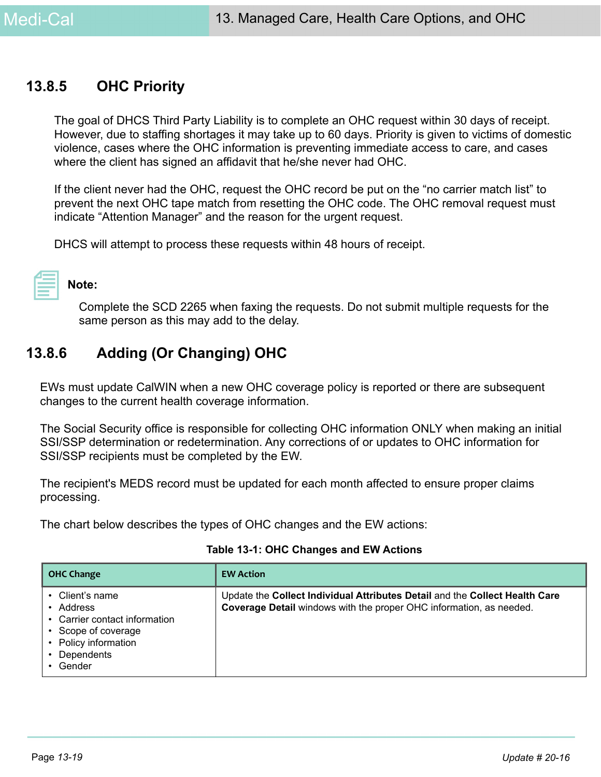# **13.8.5 OHC Priority**

The goal of DHCS Third Party Liability is to complete an OHC request within 30 days of receipt. However, due to staffing shortages it may take up to 60 days. Priority is given to victims of domestic violence, cases where the OHC information is preventing immediate access to care, and cases where the client has signed an affidavit that he/she never had OHC.

If the client never had the OHC, request the OHC record be put on the "no carrier match list" to prevent the next OHC tape match from resetting the OHC code. The OHC removal request must indicate "Attention Manager" and the reason for the urgent request.

DHCS will attempt to process these requests within 48 hours of receipt.

# **Note:**

Complete the SCD 2265 when faxing the requests. Do not submit multiple requests for the same person as this may add to the delay.

# <span id="page-18-1"></span>**13.8.6 Adding (Or Changing) OHC**

EWs must update CalWIN when a new OHC coverage policy is reported or there are subsequent changes to the current health coverage information.

The Social Security office is responsible for collecting OHC information ONLY when making an initial SSI/SSP determination or redetermination. Any corrections of or updates to OHC information for SSI/SSP recipients must be completed by the EW.

The recipient's MEDS record must be updated for each month affected to ensure proper claims processing.

The chart below describes the types of OHC changes and the EW actions:

<span id="page-18-0"></span>

| <b>OHC Change</b>                                                                                                              | <b>EW Action</b>                                                                                                                                   |
|--------------------------------------------------------------------------------------------------------------------------------|----------------------------------------------------------------------------------------------------------------------------------------------------|
| Client's name<br>Address<br>• Carrier contact information<br>• Scope of coverage<br>Policy information<br>Dependents<br>Gender | Update the Collect Individual Attributes Detail and the Collect Health Care<br>Coverage Detail windows with the proper OHC information, as needed. |

#### **Table 13-1: OHC Changes and EW Actions**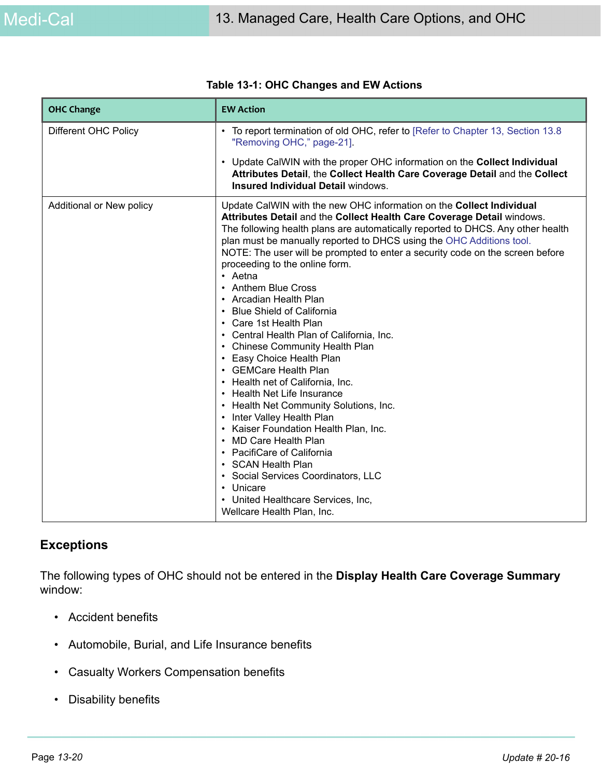| <b>OHC Change</b>        | <b>EW Action</b>                                                                                                                                                                                                                                                                                                                                                                                                                                                                                                                                                                                                                                                                                                                                                                                                                                                                                                                                                                                                                                                                                    |
|--------------------------|-----------------------------------------------------------------------------------------------------------------------------------------------------------------------------------------------------------------------------------------------------------------------------------------------------------------------------------------------------------------------------------------------------------------------------------------------------------------------------------------------------------------------------------------------------------------------------------------------------------------------------------------------------------------------------------------------------------------------------------------------------------------------------------------------------------------------------------------------------------------------------------------------------------------------------------------------------------------------------------------------------------------------------------------------------------------------------------------------------|
| Different OHC Policy     | To report termination of old OHC, refer to [Refer to Chapter 13, Section 13.8<br>"Removing OHC," page-21].                                                                                                                                                                                                                                                                                                                                                                                                                                                                                                                                                                                                                                                                                                                                                                                                                                                                                                                                                                                          |
|                          | Update CalWIN with the proper OHC information on the Collect Individual<br>$\bullet$<br>Attributes Detail, the Collect Health Care Coverage Detail and the Collect<br>Insured Individual Detail windows.                                                                                                                                                                                                                                                                                                                                                                                                                                                                                                                                                                                                                                                                                                                                                                                                                                                                                            |
| Additional or New policy | Update CalWIN with the new OHC information on the Collect Individual<br>Attributes Detail and the Collect Health Care Coverage Detail windows.<br>The following health plans are automatically reported to DHCS. Any other health<br>plan must be manually reported to DHCS using the OHC Additions tool.<br>NOTE: The user will be prompted to enter a security code on the screen before<br>proceeding to the online form.<br>$\cdot$ Aetna<br><b>Anthem Blue Cross</b><br>Arcadian Health Plan<br><b>Blue Shield of California</b><br>Care 1st Health Plan<br>Central Health Plan of California, Inc.<br>• Chinese Community Health Plan<br>Easy Choice Health Plan<br>• GEMCare Health Plan<br>• Health net of California, Inc.<br>• Health Net Life Insurance<br>• Health Net Community Solutions, Inc.<br>Inter Valley Health Plan<br>Kaiser Foundation Health Plan, Inc.<br><b>MD Care Health Plan</b><br>PacifiCare of California<br><b>SCAN Health Plan</b><br>Social Services Coordinators, LLC<br>Unicare<br>$\bullet$<br>United Healthcare Services, Inc,<br>Wellcare Health Plan, Inc. |

#### **Table 13-1: OHC Changes and EW Actions**

#### **Exceptions**

The following types of OHC should not be entered in the **Display Health Care Coverage Summary** window:

- Accident benefits
- Automobile, Burial, and Life Insurance benefits
- Casualty Workers Compensation benefits
- Disability benefits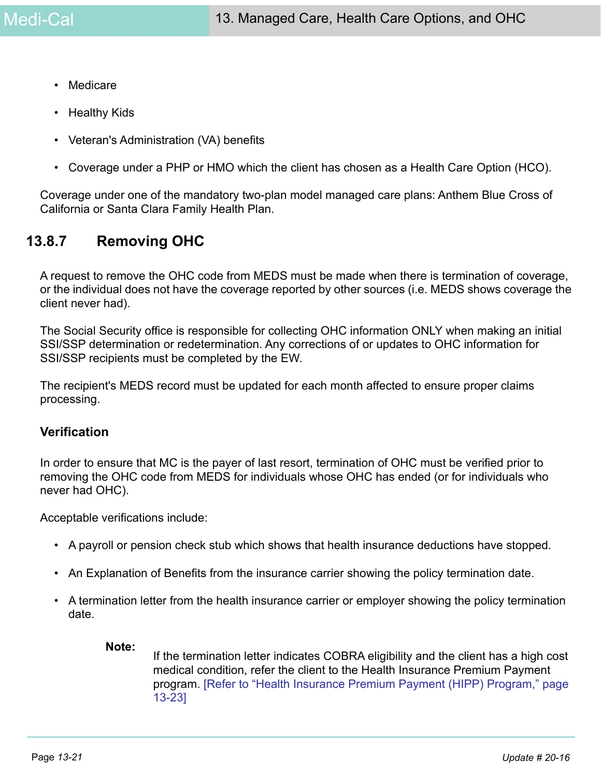- Medicare
- Healthy Kids
- Veteran's Administration (VA) benefits
- Coverage under a PHP or HMO which the client has chosen as a Health Care Option (HCO).

Coverage under one of the mandatory two-plan model managed care plans: Anthem Blue Cross of California or Santa Clara Family Health Plan.

# <span id="page-20-0"></span>**13.8.7 Removing OHC**

A request to remove the OHC code from MEDS must be made when there is termination of coverage, or the individual does not have the coverage reported by other sources (i.e. MEDS shows coverage the client never had).

The Social Security office is responsible for collecting OHC information ONLY when making an initial SSI/SSP determination or redetermination. Any corrections of or updates to OHC information for SSI/SSP recipients must be completed by the EW.

The recipient's MEDS record must be updated for each month affected to ensure proper claims processing.

#### **Verification**

In order to ensure that MC is the payer of last resort, termination of OHC must be verified prior to removing the OHC code from MEDS for individuals whose OHC has ended (or for individuals who never had OHC).

Acceptable verifications include:

- A payroll or pension check stub which shows that health insurance deductions have stopped.
- An Explanation of Benefits from the insurance carrier showing the policy termination date.
- A termination letter from the health insurance carrier or employer showing the policy termination date.

#### **Note:**

If the termination letter indicates COBRA eligibility and the client has a high cost medical condition, refer the client to the Health Insurance Premium Payment program. [\[Refer to "Health Insurance Premium Payment \(HIPP\) Program," page](#page-22-0)  [13-23\]](#page-22-0)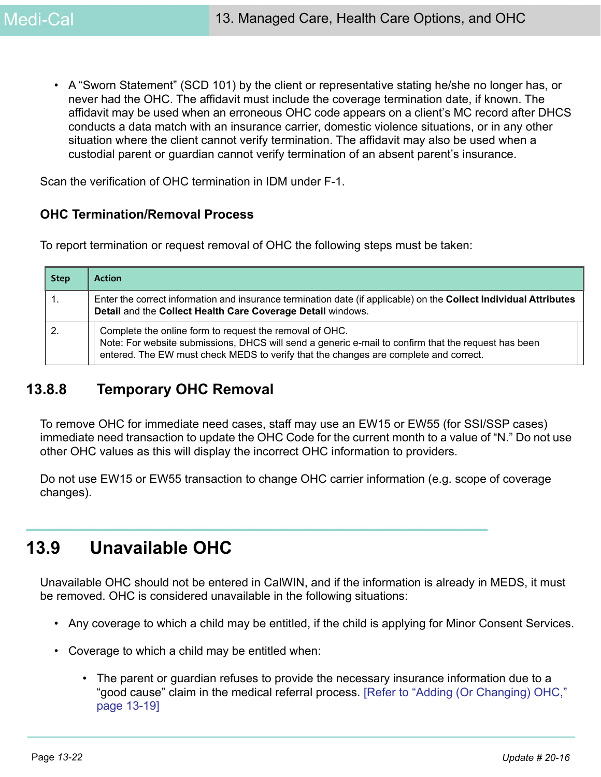• A "Sworn Statement" (SCD 101) by the client or representative stating he/she no longer has, or never had the OHC. The affidavit must include the coverage termination date, if known. The affidavit may be used when an erroneous OHC code appears on a client's MC record after DHCS conducts a data match with an insurance carrier, domestic violence situations, or in any other situation where the client cannot verify termination. The affidavit may also be used when a custodial parent or guardian cannot verify termination of an absent parent's insurance.

Scan the verification of OHC termination in IDM under F-1.

#### **OHC Termination/Removal Process**

To report termination or request removal of OHC the following steps must be taken:

| <b>Step</b> | <b>Action</b>                                                                                                                                                                                                                                          |
|-------------|--------------------------------------------------------------------------------------------------------------------------------------------------------------------------------------------------------------------------------------------------------|
|             | Enter the correct information and insurance termination date (if applicable) on the Collect Individual Attributes<br>Detail and the Collect Health Care Coverage Detail windows.                                                                       |
|             | Complete the online form to request the removal of OHC.<br>Note: For website submissions, DHCS will send a generic e-mail to confirm that the request has been<br>entered. The EW must check MEDS to verify that the changes are complete and correct. |

# **13.8.8 Temporary OHC Removal**

To remove OHC for immediate need cases, staff may use an EW15 or EW55 (for SSI/SSP cases) immediate need transaction to update the OHC Code for the current month to a value of "N." Do not use other OHC values as this will display the incorrect OHC information to providers.

Do not use EW15 or EW55 transaction to change OHC carrier information (e.g. scope of coverage changes).

# **13.9 Unavailable OHC**

Unavailable OHC should not be entered in CalWIN, and if the information is already in MEDS, it must be removed. OHC is considered unavailable in the following situations:

- Any coverage to which a child may be entitled, if the child is applying for Minor Consent Services.
- Coverage to which a child may be entitled when:
	- The parent or guardian refuses to provide the necessary insurance information due to a "good cause" claim in the medical referral process. [\[Refer to "Adding \(Or Changing\) OHC,"](#page-18-1)  [page 13-19\]](#page-18-1)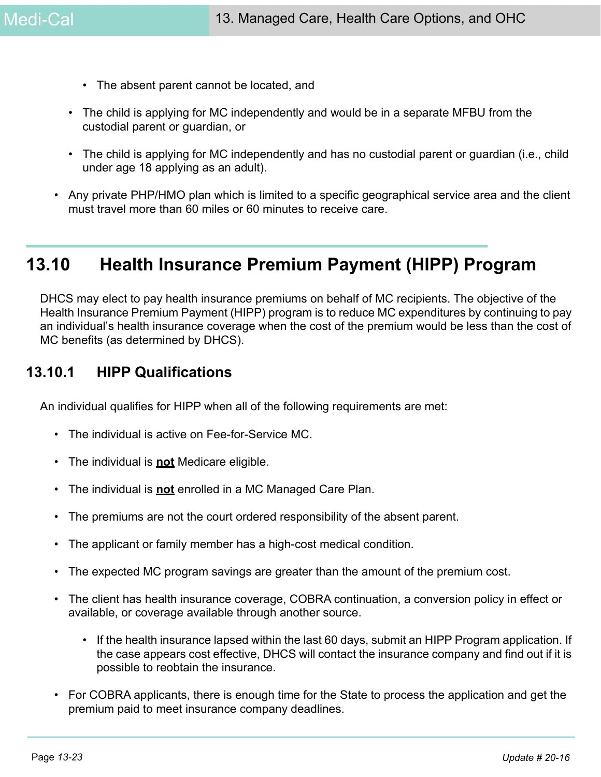- The absent parent cannot be located, and
- The child is applying for MC independently and would be in a separate MFBU from the custodial parent or guardian, or
- The child is applying for MC independently and has no custodial parent or guardian (i.e., child under age 18 applying as an adult).
- Any private PHP/HMO plan which is limited to a specific geographical service area and the client must travel more than 60 miles or 60 minutes to receive care.

# <span id="page-22-0"></span>**13.10 Health Insurance Premium Payment (HIPP) Program**

DHCS may elect to pay health insurance premiums on behalf of MC recipients. The objective of the Health Insurance Premium Payment (HIPP) program is to reduce MC expenditures by continuing to pay an individual's health insurance coverage when the cost of the premium would be less than the cost of MC benefits (as determined by DHCS).

# **13.10.1 HIPP Qualifications**

An individual qualifies for HIPP when all of the following requirements are met:

- The individual is active on Fee-for-Service MC.
- The individual is **not** Medicare eligible.
- The individual is **not** enrolled in a MC Managed Care Plan.
- The premiums are not the court ordered responsibility of the absent parent.
- The applicant or family member has a high-cost medical condition.
- The expected MC program savings are greater than the amount of the premium cost.
- The client has health insurance coverage, COBRA continuation, a conversion policy in effect or available, or coverage available through another source.
	- If the health insurance lapsed within the last 60 days, submit an HIPP Program application. If the case appears cost effective, DHCS will contact the insurance company and find out if it is possible to reobtain the insurance.
- For COBRA applicants, there is enough time for the State to process the application and get the premium paid to meet insurance company deadlines.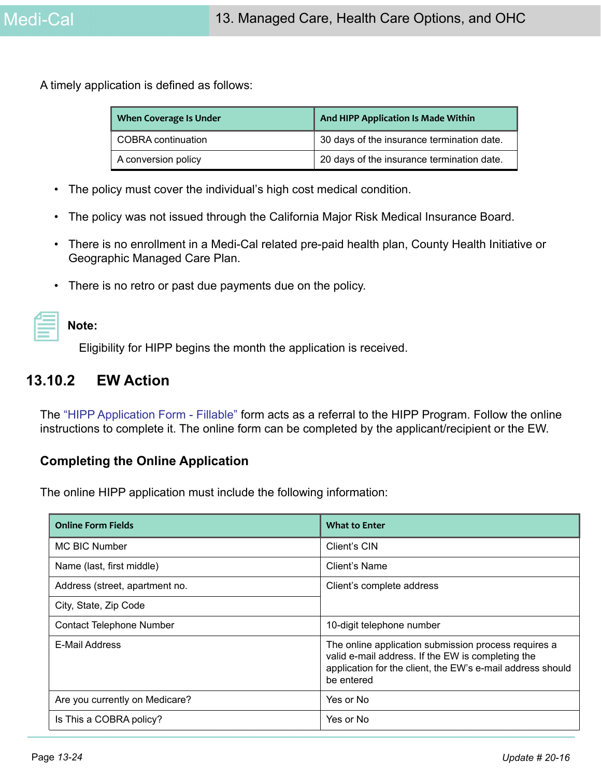A timely application is defined as follows:

| <b>When Coverage Is Under</b> | And HIPP Application Is Made Within        |
|-------------------------------|--------------------------------------------|
| <b>COBRA</b> continuation     | 30 days of the insurance termination date. |
| A conversion policy           | 20 days of the insurance termination date. |

- The policy must cover the individual's high cost medical condition.
- The policy was not issued through the California Major Risk Medical Insurance Board.
- There is no enrollment in a Medi-Cal related pre-paid health plan, County Health Initiative or Geographic Managed Care Plan.
- There is no retro or past due payments due on the policy.

| Note: |
|-------|
|       |

Eligibility for HIPP begins the month the application is received.

# **13.10.2 EW Action**

[The "](http://www.dhcs.ca.gov/services/Pages/TPLRD_CAU_cont.aspx)HIPP Application Form - Fillable" form acts as a referral to the HIPP Program. Follow the online instructions to complete it. The online form can be completed by the applicant/recipient or the EW.

#### **Completing the Online Application**

The online HIPP application must include the following information:

| <b>Online Form Fields</b>       | <b>What to Enter</b>                                                                                                                                                                  |
|---------------------------------|---------------------------------------------------------------------------------------------------------------------------------------------------------------------------------------|
| <b>MC BIC Number</b>            | Client's CIN                                                                                                                                                                          |
| Name (last, first middle)       | Client's Name                                                                                                                                                                         |
| Address (street, apartment no.  | Client's complete address                                                                                                                                                             |
| City, State, Zip Code           |                                                                                                                                                                                       |
| <b>Contact Telephone Number</b> | 10-digit telephone number                                                                                                                                                             |
| E-Mail Address                  | The online application submission process requires a<br>valid e-mail address. If the EW is completing the<br>application for the client, the EW's e-mail address should<br>be entered |
| Are you currently on Medicare?  | Yes or No                                                                                                                                                                             |
| Is This a COBRA policy?         | Yes or No                                                                                                                                                                             |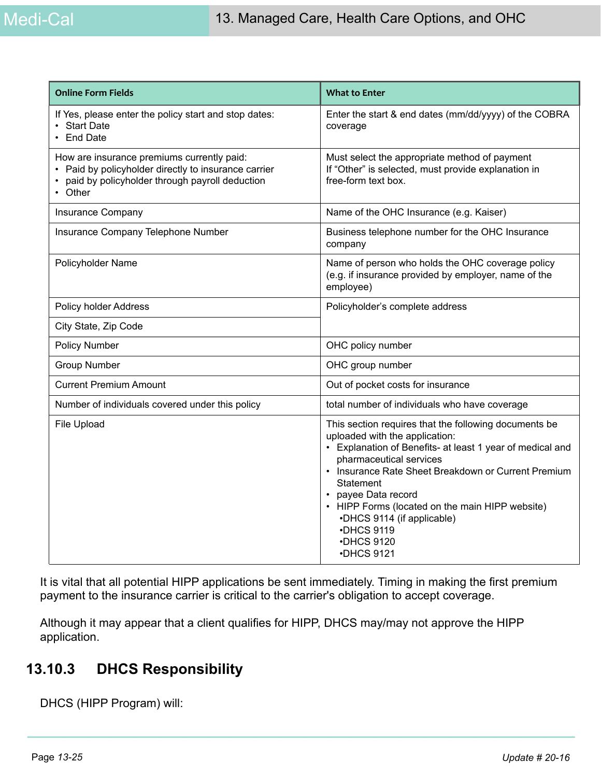| <b>Online Form Fields</b>                                                                                                                                     | <b>What to Enter</b>                                                                                                                                                                                                                                                                                                                                                                                  |
|---------------------------------------------------------------------------------------------------------------------------------------------------------------|-------------------------------------------------------------------------------------------------------------------------------------------------------------------------------------------------------------------------------------------------------------------------------------------------------------------------------------------------------------------------------------------------------|
| If Yes, please enter the policy start and stop dates:<br>• Start Date<br><b>End Date</b>                                                                      | Enter the start & end dates (mm/dd/yyyy) of the COBRA<br>coverage                                                                                                                                                                                                                                                                                                                                     |
| How are insurance premiums currently paid:<br>• Paid by policyholder directly to insurance carrier<br>paid by policyholder through payroll deduction<br>Other | Must select the appropriate method of payment<br>If "Other" is selected, must provide explanation in<br>free-form text box.                                                                                                                                                                                                                                                                           |
| Insurance Company                                                                                                                                             | Name of the OHC Insurance (e.g. Kaiser)                                                                                                                                                                                                                                                                                                                                                               |
| Insurance Company Telephone Number                                                                                                                            | Business telephone number for the OHC Insurance<br>company                                                                                                                                                                                                                                                                                                                                            |
| Policyholder Name                                                                                                                                             | Name of person who holds the OHC coverage policy<br>(e.g. if insurance provided by employer, name of the<br>employee)                                                                                                                                                                                                                                                                                 |
| <b>Policy holder Address</b>                                                                                                                                  | Policyholder's complete address                                                                                                                                                                                                                                                                                                                                                                       |
| City State, Zip Code                                                                                                                                          |                                                                                                                                                                                                                                                                                                                                                                                                       |
| <b>Policy Number</b>                                                                                                                                          | OHC policy number                                                                                                                                                                                                                                                                                                                                                                                     |
| <b>Group Number</b>                                                                                                                                           | OHC group number                                                                                                                                                                                                                                                                                                                                                                                      |
| <b>Current Premium Amount</b>                                                                                                                                 | Out of pocket costs for insurance                                                                                                                                                                                                                                                                                                                                                                     |
| Number of individuals covered under this policy                                                                                                               | total number of individuals who have coverage                                                                                                                                                                                                                                                                                                                                                         |
| File Upload                                                                                                                                                   | This section requires that the following documents be<br>uploaded with the application:<br>• Explanation of Benefits- at least 1 year of medical and<br>pharmaceutical services<br>• Insurance Rate Sheet Breakdown or Current Premium<br>Statement<br>• payee Data record<br>• HIPP Forms (located on the main HIPP website)<br>•DHCS 9114 (if applicable)<br>•DHCS 9119<br>•DHCS 9120<br>•DHCS 9121 |

It is vital that all potential HIPP applications be sent immediately. Timing in making the first premium payment to the insurance carrier is critical to the carrier's obligation to accept coverage.

Although it may appear that a client qualifies for HIPP, DHCS may/may not approve the HIPP application.

# **13.10.3 DHCS Responsibility**

DHCS (HIPP Program) will: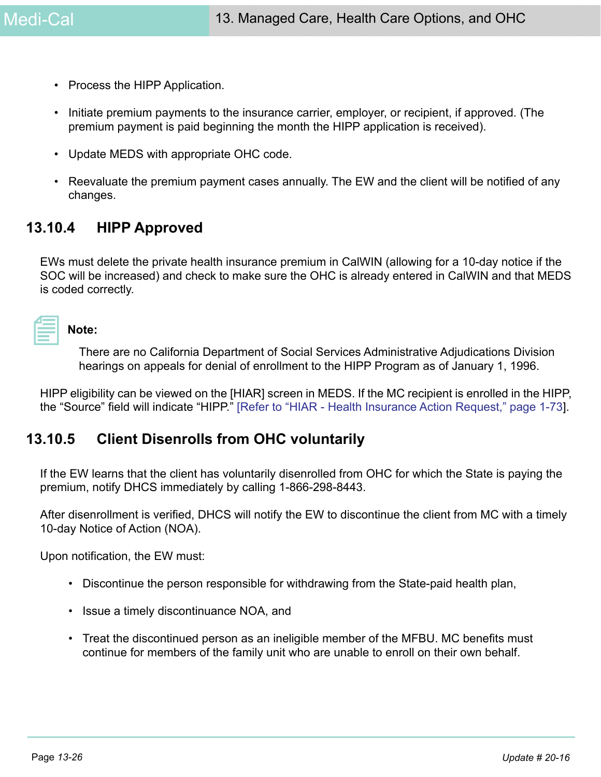- Process the HIPP Application.
- Initiate premium payments to the insurance carrier, employer, or recipient, if approved. (The premium payment is paid beginning the month the HIPP application is received).
- Update MEDS with appropriate OHC code.
- Reevaluate the premium payment cases annually. The EW and the client will be notified of any changes.

# **13.10.4 HIPP Approved**

EWs must delete the private health insurance premium in CalWIN (allowing for a 10-day notice if the SOC will be increased) and check to make sure the OHC is already entered in CalWIN and that MEDS is coded correctly.

# **Note:**

There are no California Department of Social Services Administrative Adjudications Division hearings on appeals for denial of enrollment to the HIPP Program as of January 1, 1996.

HIPP eligibility can be viewed on the [HIAR] screen in MEDS. If the MC recipient is enrolled in the HIPP, the "Source" field will indicate "HIPP." [Refer to "HIAR - Health Insurance Action Request," page 1-73].

# **13.10.5 Client Disenrolls from OHC voluntarily**

If the EW learns that the client has voluntarily disenrolled from OHC for which the State is paying the premium, notify DHCS immediately by calling 1-866-298-8443.

After disenrollment is verified, DHCS will notify the EW to discontinue the client from MC with a timely 10-day Notice of Action (NOA).

Upon notification, the EW must:

- Discontinue the person responsible for withdrawing from the State-paid health plan,
- Issue a timely discontinuance NOA, and
- <span id="page-25-0"></span>• Treat the discontinued person as an ineligible member of the MFBU. MC benefits must continue for members of the family unit who are unable to enroll on their own behalf.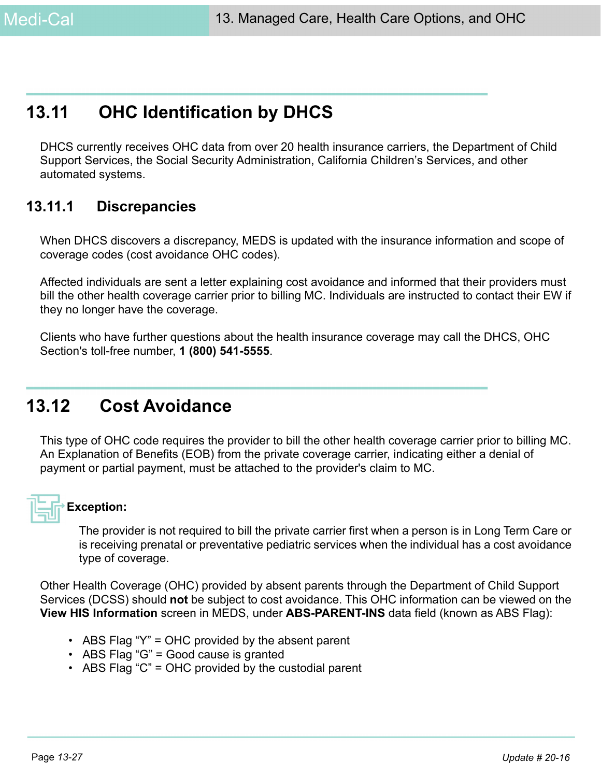# **13.11 OHC Identification by DHCS**

DHCS currently receives OHC data from over 20 health insurance carriers, the Department of Child Support Services, the Social Security Administration, California Children's Services, and other automated systems.

# **13.11.1 Discrepancies**

When DHCS discovers a discrepancy, MEDS is updated with the insurance information and scope of coverage codes (cost avoidance OHC codes).

Affected individuals are sent a letter explaining cost avoidance and informed that their providers must bill the other health coverage carrier prior to billing MC. Individuals are instructed to contact their EW if they no longer have the coverage.

Clients who have further questions about the health insurance coverage may call the DHCS, OHC Section's toll-free number, **1 (800) 541-5555**.

# **13.12 Cost Avoidance**

This type of OHC code requires the provider to bill the other health coverage carrier prior to billing MC. An Explanation of Benefits (EOB) from the private coverage carrier, indicating either a denial of payment or partial payment, must be attached to the provider's claim to MC.



## **Exception:**

The provider is not required to bill the private carrier first when a person is in Long Term Care or is receiving prenatal or preventative pediatric services when the individual has a cost avoidance type of coverage.

Other Health Coverage (OHC) provided by absent parents through the Department of Child Support Services (DCSS) should **not** be subject to cost avoidance. This OHC information can be viewed on the **View HIS Information** screen in MEDS, under **ABS-PARENT-INS** data field (known as ABS Flag):

- ABS Flag "Y" = OHC provided by the absent parent
- ABS Flag "G" = Good cause is granted
- ABS Flag "C" = OHC provided by the custodial parent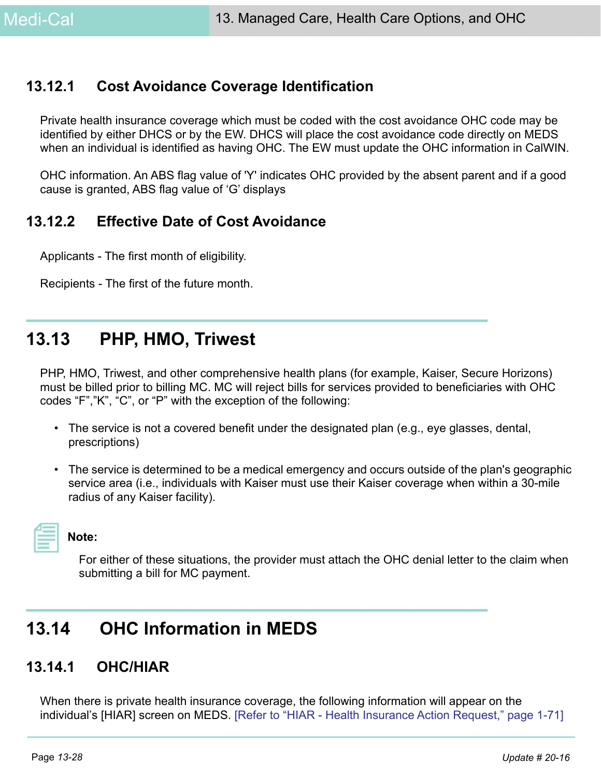# **13.12.1 Cost Avoidance Coverage Identification**

Private health insurance coverage which must be coded with the cost avoidance OHC code may be identified by either DHCS or by the EW. DHCS will place the cost avoidance code directly on MEDS when an individual is identified as having OHC. The EW must update the OHC information in CalWIN.

OHC information. An ABS flag value of 'Y' indicates OHC provided by the absent parent and if a good cause is granted, ABS flag value of 'G' displays

# **13.12.2 Effective Date of Cost Avoidance**

Applicants - The first month of eligibility.

Recipients - The first of the future month.

# **13.13 PHP, HMO, Triwest**

PHP, HMO, Triwest, and other comprehensive health plans (for example, Kaiser, Secure Horizons) must be billed prior to billing MC. MC will reject bills for services provided to beneficiaries with OHC codes "F","K", "C", or "P" with the exception of the following:

- The service is not a covered benefit under the designated plan (e.g., eye glasses, dental, prescriptions)
- The service is determined to be a medical emergency and occurs outside of the plan's geographic service area (i.e., individuals with Kaiser must use their Kaiser coverage when within a 30-mile radius of any Kaiser facility).



## **Note:**

For either of these situations, the provider must attach the OHC denial letter to the claim when submitting a bill for MC payment.

# **13.14 OHC Information in MEDS**

# **13.14.1 OHC/HIAR**

When there is private health insurance coverage, the following information will appear on the individual's [HIAR] screen on MEDS. [Refer to "HIAR - Health Insurance Action Request," page 1-71]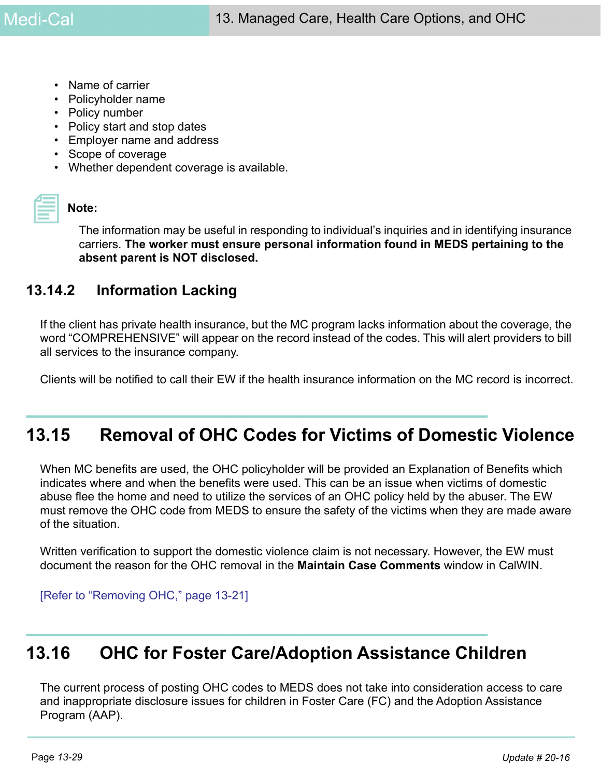- Name of carrier
- Policyholder name
- Policy number
- Policy start and stop dates
- Employer name and address
- Scope of coverage
- Whether dependent coverage is available.

#### **Note:**

The information may be useful in responding to individual's inquiries and in identifying insurance carriers. **The worker must ensure personal information found in MEDS pertaining to the absent parent is NOT disclosed.**

# **13.14.2 Information Lacking**

If the client has private health insurance, but the MC program lacks information about the coverage, the word "COMPREHENSIVE" will appear on the record instead of the codes. This will alert providers to bill all services to the insurance company.

Clients will be notified to call their EW if the health insurance information on the MC record is incorrect.

# <span id="page-28-0"></span>**13.15 Removal of OHC Codes for Victims of Domestic Violence**

When MC benefits are used, the OHC policyholder will be provided an Explanation of Benefits which indicates where and when the benefits were used. This can be an issue when victims of domestic abuse flee the home and need to utilize the services of an OHC policy held by the abuser. The EW must remove the OHC code from MEDS to ensure the safety of the victims when they are made aware of the situation.

Written verification to support the domestic violence claim is not necessary. However, the EW must document the reason for the OHC removal in the **Maintain Case Comments** window in CalWIN.

[\[Refer to "Removing OHC," page 13-21\]](#page-20-0)

# **13.16 OHC for Foster Care/Adoption Assistance Children**

The current process of posting OHC codes to MEDS does not take into consideration access to care and inappropriate disclosure issues for children in Foster Care (FC) and the Adoption Assistance Program (AAP).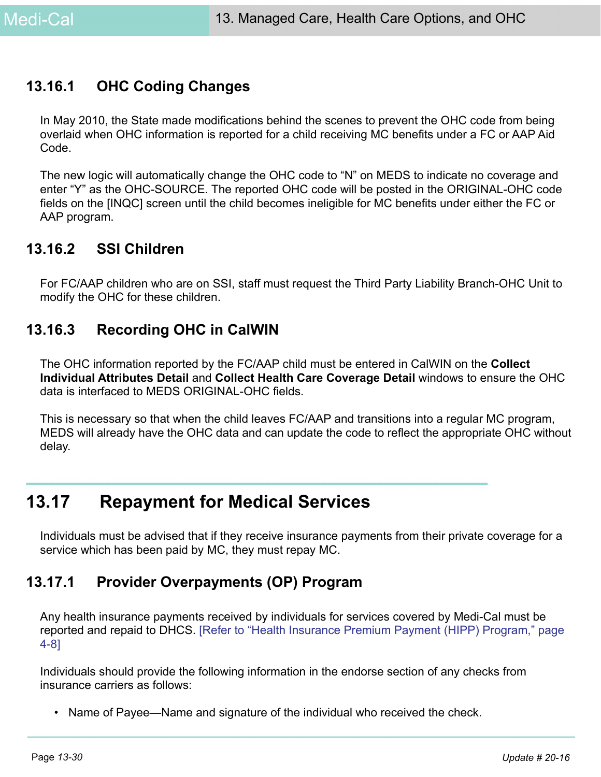# **13.16.1 OHC Coding Changes**

In May 2010, the State made modifications behind the scenes to prevent the OHC code from being overlaid when OHC information is reported for a child receiving MC benefits under a FC or AAP Aid Code.

The new logic will automatically change the OHC code to "N" on MEDS to indicate no coverage and enter "Y" as the OHC-SOURCE. The reported OHC code will be posted in the ORIGINAL-OHC code fields on the [INQC] screen until the child becomes ineligible for MC benefits under either the FC or AAP program.

## **13.16.2 SSI Children**

For FC/AAP children who are on SSI, staff must request the Third Party Liability Branch-OHC Unit to modify the OHC for these children.

# **13.16.3 Recording OHC in CalWIN**

The OHC information reported by the FC/AAP child must be entered in CalWIN on the **Collect Individual Attributes Detail** and **Collect Health Care Coverage Detail** windows to ensure the OHC data is interfaced to MEDS ORIGINAL-OHC fields.

This is necessary so that when the child leaves FC/AAP and transitions into a regular MC program, MEDS will already have the OHC data and can update the code to reflect the appropriate OHC without delay.

# **13.17 Repayment for Medical Services**

Individuals must be advised that if they receive insurance payments from their private coverage for a service which has been paid by MC, they must repay MC.

# **13.17.1 Provider Overpayments (OP) Program**

Any health insurance payments received by individuals for services covered by Medi-Cal must be reported and repaid to DHCS. [Refer to "Health Insurance Premium Payment (HIPP) Program," page 4-8]

Individuals should provide the following information in the endorse section of any checks from insurance carriers as follows:

• Name of Payee—Name and signature of the individual who received the check.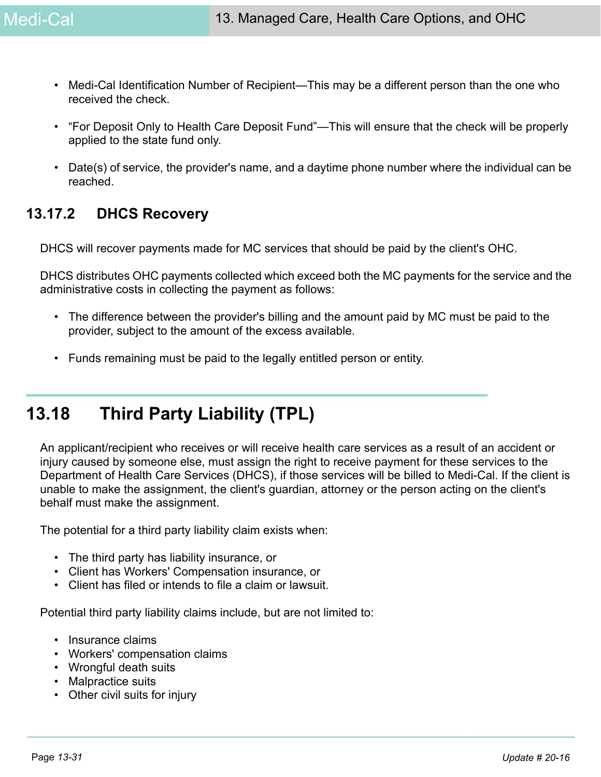- Medi-Cal Identification Number of Recipient—This may be a different person than the one who received the check.
- "For Deposit Only to Health Care Deposit Fund"—This will ensure that the check will be properly applied to the state fund only.
- Date(s) of service, the provider's name, and a daytime phone number where the individual can be reached.

# **13.17.2 DHCS Recovery**

DHCS will recover payments made for MC services that should be paid by the client's OHC.

DHCS distributes OHC payments collected which exceed both the MC payments for the service and the administrative costs in collecting the payment as follows:

- The difference between the provider's billing and the amount paid by MC must be paid to the provider, subject to the amount of the excess available.
- Funds remaining must be paid to the legally entitled person or entity.

# **13.18 Third Party Liability (TPL)**

An applicant/recipient who receives or will receive health care services as a result of an accident or injury caused by someone else, must assign the right to receive payment for these services to the Department of Health Care Services (DHCS), if those services will be billed to Medi-Cal. If the client is unable to make the assignment, the client's guardian, attorney or the person acting on the client's behalf must make the assignment.

The potential for a third party liability claim exists when:

- The third party has liability insurance, or
- Client has Workers' Compensation insurance, or
- Client has filed or intends to file a claim or lawsuit.

Potential third party liability claims include, but are not limited to:

- Insurance claims
- Workers' compensation claims
- Wrongful death suits
- Malpractice suits
- Other civil suits for injury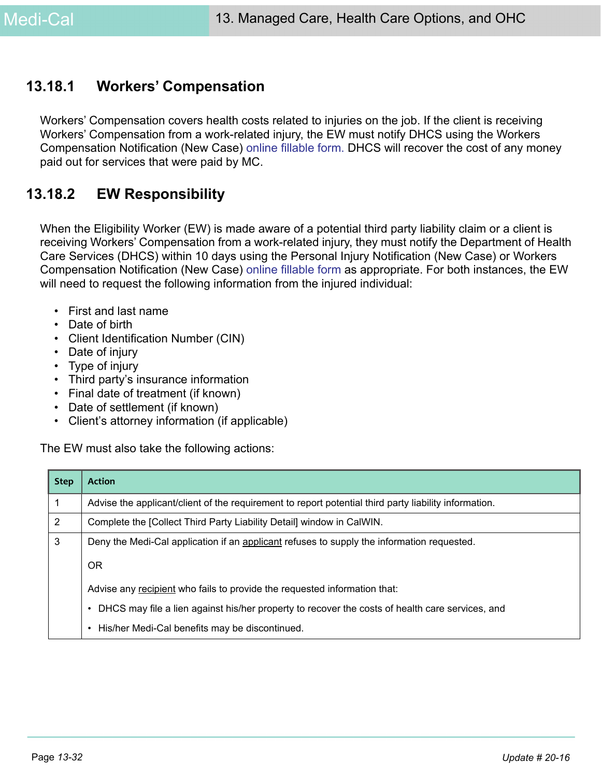# **13.18.1 Workers' Compensation**

[Workers' Compensation covers health costs related to injuries on the job. If the client is receiving](http://www.dhcs.ca.gov/services/Pages/TPLRD_PI_OnlineForms.aspx)  [Workers' Compensation from a work-related injury, the EW must notify DHCS using the Workers](http://www.dhcs.ca.gov/services/Pages/TPLRD_PI_OnlineForms.aspx)  [Compensation Notification \(New Case\) o](http://www.dhcs.ca.gov/services/Pages/TPLRD_PI_OnlineForms.aspx)nline fillable form. DHCS will recover the cost of any money paid out for services that were paid by MC.

# **13.18.2 EW Responsibility**

When the Eligibility Worker (EW) is made aware of a potential third party liability claim or a client is receiving Workers' Compensation from a work-related injury, they must notify the Department of Health Care Services (DHCS) within 10 days using the Personal Injury Notification (New Case) or Workers Compensation Notification (New Case) [online fillable form a](http://www.dhcs.ca.gov/services/Pages/TPLRD_PI_OnlineForms.aspx
)s appropriate. For both instances, the EW will need to request the following information from the injured individual:

- First and last name
- Date of birth
- Client Identification Number (CIN)
- Date of injury
- Type of injury
- Third party's insurance information
- Final date of treatment (if known)
- Date of settlement (if known)
- Client's attorney information (if applicable)

The EW must also take the following actions:

| <b>Step</b> | <b>Action</b>                                                                                         |
|-------------|-------------------------------------------------------------------------------------------------------|
|             | Advise the applicant/client of the requirement to report potential third party liability information. |
| 2           | Complete the [Collect Third Party Liability Detail] window in CalWIN.                                 |
| 3           | Deny the Medi-Cal application if an applicant refuses to supply the information requested.            |
|             | 0R                                                                                                    |
|             | Advise any recipient who fails to provide the requested information that:                             |
|             | DHCS may file a lien against his/her property to recover the costs of health care services, and       |
|             | His/her Medi-Cal benefits may be discontinued.<br>$\bullet$                                           |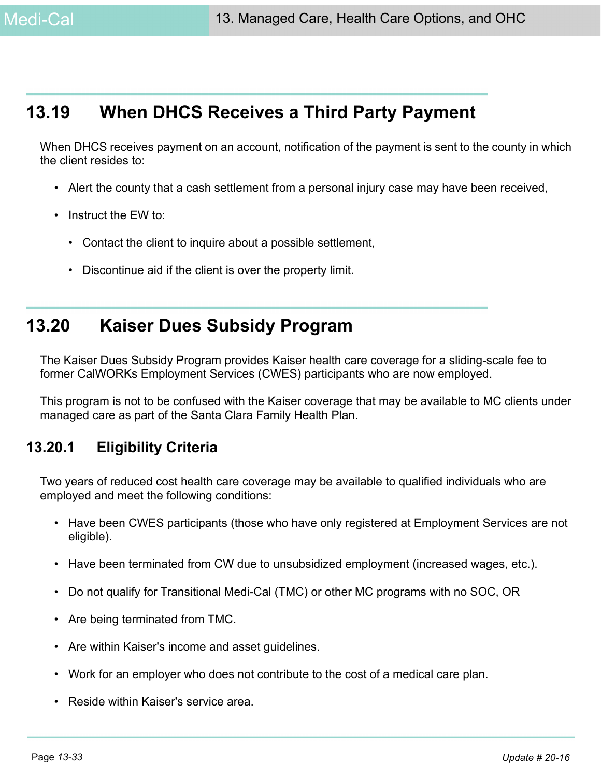# **13.19 When DHCS Receives a Third Party Payment**

When DHCS receives payment on an account, notification of the payment is sent to the county in which the client resides to:

- Alert the county that a cash settlement from a personal injury case may have been received,
- Instruct the EW to:
	- Contact the client to inquire about a possible settlement,
	- Discontinue aid if the client is over the property limit.

# **13.20 Kaiser Dues Subsidy Program**

The Kaiser Dues Subsidy Program provides Kaiser health care coverage for a sliding-scale fee to former CalWORKs Employment Services (CWES) participants who are now employed.

This program is not to be confused with the Kaiser coverage that may be available to MC clients under managed care as part of the Santa Clara Family Health Plan.

# **13.20.1 Eligibility Criteria**

Two years of reduced cost health care coverage may be available to qualified individuals who are employed and meet the following conditions:

- Have been CWES participants (those who have only registered at Employment Services are not eligible).
- Have been terminated from CW due to unsubsidized employment (increased wages, etc.).
- Do not qualify for Transitional Medi-Cal (TMC) or other MC programs with no SOC, OR
- Are being terminated from TMC.
- Are within Kaiser's income and asset guidelines.
- Work for an employer who does not contribute to the cost of a medical care plan.
- Reside within Kaiser's service area.